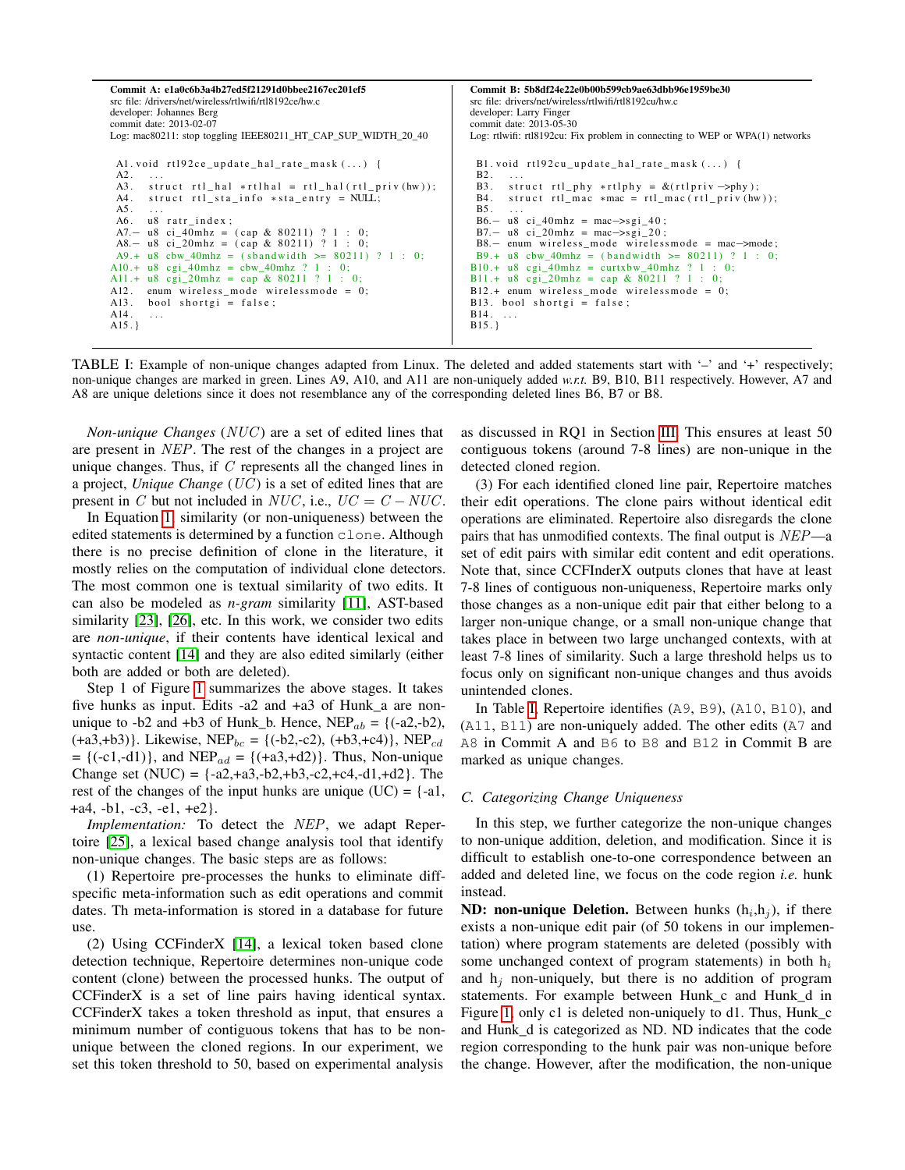<span id="page-2-0"></span>

| Commit A: e1a0c6b3a4b27ed5f21291d0bbee2167ec201ef5<br>src file: /drivers/net/wireless/rtlwifi/rtl8192ce/hw.c<br>developer: Johannes Berg<br>commit date: 2013-02-07<br>Log: mac80211: stop toggling IEEE80211 HT CAP SUP WIDTH 20 40                                                                                                                                                                                                                                                                                                                                                                                                                 | Commit B: 5b8df24e22e0b00b599cb9ae63dbb96e1959be30<br>src file: drivers/net/wireless/rtlwifi/rtl8192cu/hw.c<br>developer: Larry Finger<br>commit date: 2013-05-30<br>Log: rtlwifi: rtl8192cu: Fix problem in connecting to WEP or WPA $(1)$ networks                                                                                                                                                                                                                                                                                                                                                |
|------------------------------------------------------------------------------------------------------------------------------------------------------------------------------------------------------------------------------------------------------------------------------------------------------------------------------------------------------------------------------------------------------------------------------------------------------------------------------------------------------------------------------------------------------------------------------------------------------------------------------------------------------|-----------------------------------------------------------------------------------------------------------------------------------------------------------------------------------------------------------------------------------------------------------------------------------------------------------------------------------------------------------------------------------------------------------------------------------------------------------------------------------------------------------------------------------------------------------------------------------------------------|
| Al. void $rt192ce\_update\_hal\_rate\_mask()$ {<br>A2.<br>$\sim$ $\sim$ $\sim$<br>A3. struct $rtl_hal$ $\ast rtlhal = rtl_hal(rtl_priv(hw));$<br>A4.<br>struct rtl_sta_info *sta_entry = NULL;<br>A5.<br>$\sim$ $\sim$ $\sim$<br>A6. u8 ratr index;<br>A7. - u8 ci_40mhz = $(\text{cap } \& 80211)$ ? 1 : 0;<br>A8.- u8 ci_20mhz = $(\text{cap } \& 80211)$ ? 1 : 0;<br>A9.+ u8 cbw_40mhz = (sbandwidth >= $80211$ ) ? 1 : 0;<br>A10.+ $u8$ cgi_40mhz = cbw_40mhz ? 1 : 0;<br>A11.+ u8 cgi_20mhz = cap & 80211 ? 1 : 0;<br>A12. enum wireless mode wirelessmode = $0$ ;<br>bool shortgi = false;<br>A13.<br>A14.<br>$\sim$ $\sim$ $\sim$<br>$A15.$ } | B1. void rt192cu_update_hal_rate_mask $()$ {<br>$B2. \ldots$<br>B3. struct rtl_phy *rtlphy = $\&$ (rtlpriv ->phy);<br>B4. struct rtl_mac $*mac = rtl_mac(rtl_priv(hw));$<br>$B5. \ldots$<br>$B6 - u8$ ci 40mhz = mac $\rightarrow$ sgi 40;<br>B7.- u8 ci 20mhz = mac->sgi 20;<br>$B8 -$ enum wireless_mode wirelessmode = mac->mode;<br>B9.+ u8 cbw 40mhz = $(bandwidth \ge 80211)$ ? 1 : 0;<br>$B10.+$ u8 cgi_40mhz = curtxbw_40mhz ? 1 : 0;<br>B11.+ u8 cgi_20mhz = cap & 80211 ? 1 : 0;<br>$B12.+$ enum wireless mode wirelessmode = 0;<br>$B13.$ bool shortgi = false;<br>$B14. \ldots$<br>B15. |

TABLE I: Example of non-unique changes adapted from Linux. The deleted and added statements start with '–' and '+' respectively; non-unique changes are marked in green. Lines A9, A10, and A11 are non-uniquely added *w.r.t.* B9, B10, B11 respectively. However, A7 and A8 are unique deletions since it does not resemblance any of the corresponding deleted lines B6, B7 or B8.

*Non-unique Changes* (*NUC*) are a set of edited lines that are present in NEP. The rest of the changes in a project are unique changes. Thus, if  $C$  represents all the changed lines in a project, *Unique Change* (UC ) is a set of edited lines that are present in C but not included in NUC, i.e.,  $UC = C - NUC$ .

In Equation [1,](#page-1-0) similarity (or non-uniqueness) between the edited statements is determined by a function clone. Although there is no precise definition of clone in the literature, it mostly relies on the computation of individual clone detectors. The most common one is textual similarity of two edits. It can also be modeled as *n-gram* similarity [\[11\]](#page-10-0), AST-based similarity [\[23\]](#page-10-1), [\[26\]](#page-10-2), etc. In this work, we consider two edits are *non-unique*, if their contents have identical lexical and syntactic content [\[14\]](#page-10-3) and they are also edited similarly (either both are added or both are deleted).

Step 1 of Figure [1](#page-3-0) summarizes the above stages. It takes five hunks as input. Edits -a2 and +a3 of Hunk\_a are nonunique to -b2 and +b3 of Hunk\_b. Hence,  $NEP_{ab} = {(-a2,-b2)}$ ,  $(+a3, +b3)$ . Likewise, NEP<sub>bc</sub> = {(-b2,-c2), (+b3,+c4)}, NEP<sub>cd</sub>  $= {(-c1,-d1)}$ , and NEP<sub>ad</sub> = { $(+a3,+d2)$ }. Thus, Non-unique Change set  $(NUC) = \{-a2, +a3, -b2, +b3, -c2, +c4, -d1, +d2\}$ . The rest of the changes of the input hunks are unique  $(UC) = \{-a\}$ , +a4, -b1, -c3, -e1, +e2}.

*Implementation:* To detect the NEP, we adapt Repertoire [\[25\]](#page-10-4), a lexical based change analysis tool that identify non-unique changes. The basic steps are as follows:

(1) Repertoire pre-processes the hunks to eliminate diffspecific meta-information such as edit operations and commit dates. Th meta-information is stored in a database for future use.

(2) Using CCFinderX [\[14\]](#page-10-3), a lexical token based clone detection technique, Repertoire determines non-unique code content (clone) between the processed hunks. The output of CCFinderX is a set of line pairs having identical syntax. CCFinderX takes a token threshold as input, that ensures a minimum number of contiguous tokens that has to be nonunique between the cloned regions. In our experiment, we set this token threshold to 50, based on experimental analysis

as discussed in RQ1 in Section [III.](#page-3-1) This ensures at least 50 contiguous tokens (around 7-8 lines) are non-unique in the detected cloned region.

(3) For each identified cloned line pair, Repertoire matches their edit operations. The clone pairs without identical edit operations are eliminated. Repertoire also disregards the clone pairs that has unmodified contexts. The final output is NEP—a set of edit pairs with similar edit content and edit operations. Note that, since CCFInderX outputs clones that have at least 7-8 lines of contiguous non-uniqueness, Repertoire marks only those changes as a non-unique edit pair that either belong to a larger non-unique change, or a small non-unique change that takes place in between two large unchanged contexts, with at least 7-8 lines of similarity. Such a large threshold helps us to focus only on significant non-unique changes and thus avoids unintended clones.

In Table [I,](#page-2-0) Repertoire identifies (A9, B9), (A10, B10), and (A11, B11) are non-uniquely added. The other edits (A7 and A8 in Commit A and B6 to B8 and B12 in Commit B are marked as unique changes.

### <span id="page-2-1"></span>*C. Categorizing Change Uniqueness*

In this step, we further categorize the non-unique changes to non-unique addition, deletion, and modification. Since it is difficult to establish one-to-one correspondence between an added and deleted line, we focus on the code region *i.e.* hunk instead.

**ND: non-unique Deletion.** Between hunks  $(h_i, h_j)$ , if there exists a non-unique edit pair (of 50 tokens in our implementation) where program statements are deleted (possibly with some unchanged context of program statements) in both  $h_i$ and  $h_i$  non-uniquely, but there is no addition of program statements. For example between Hunk\_c and Hunk\_d in Figure [1,](#page-3-0) only c1 is deleted non-uniquely to d1. Thus, Hunk\_c and Hunk\_d is categorized as ND. ND indicates that the code region corresponding to the hunk pair was non-unique before the change. However, after the modification, the non-unique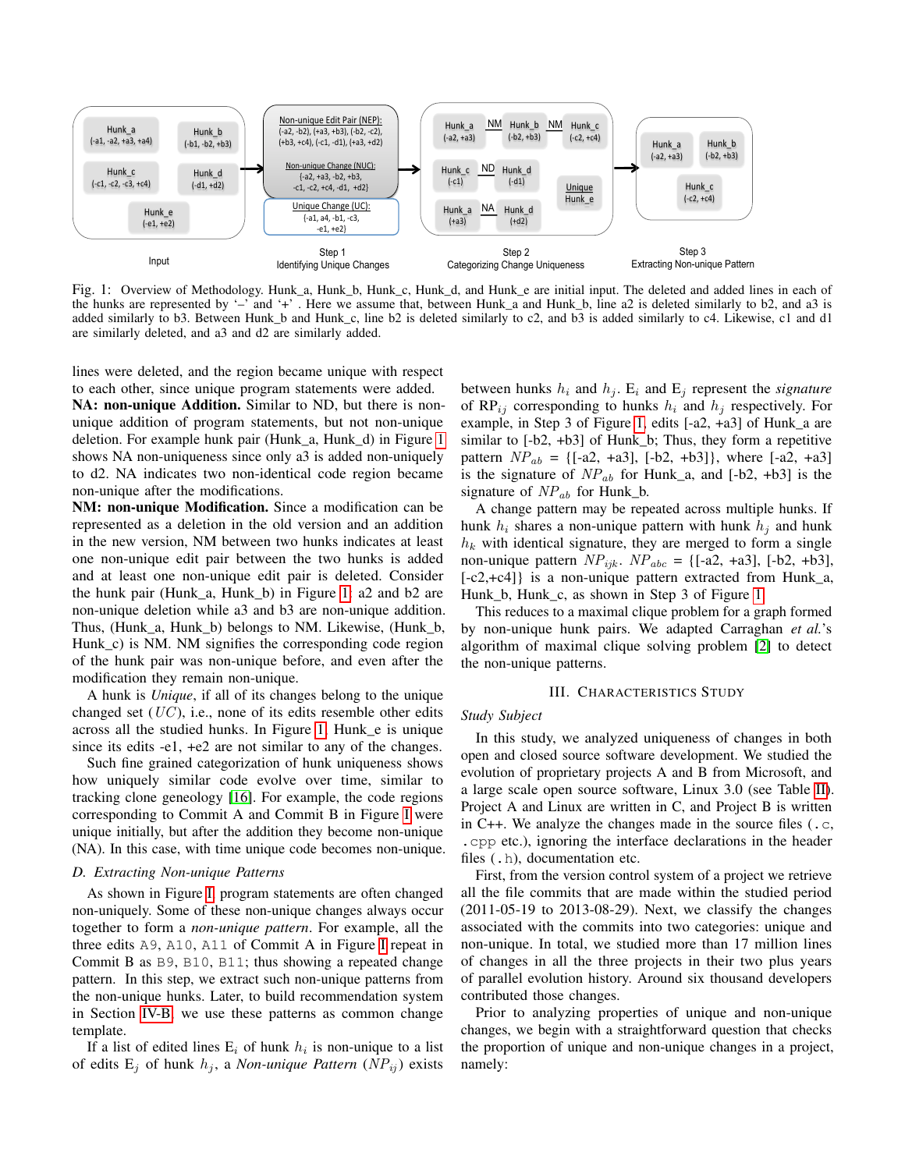<span id="page-3-0"></span>

Fig. 1: Overview of Methodology. Hunk\_a, Hunk\_b, Hunk\_c, Hunk\_d, and Hunk\_e are initial input. The deleted and added lines in each of the hunks are represented by '–' and '+' . Here we assume that, between Hunk\_a and Hunk\_b, line a2 is deleted similarly to b2, and a3 is added similarly to b3. Between Hunk\_b and Hunk\_c, line b2 is deleted similarly to c2, and b3 is added similarly to c4. Likewise, c1 and d1 are similarly deleted, and a3 and d2 are similarly added.

lines were deleted, and the region became unique with respect

to each other, since unique program statements were added. NA: non-unique Addition. Similar to ND, but there is nonunique addition of program statements, but not non-unique deletion. For example hunk pair (Hunk\_a, Hunk\_d) in Figure [1](#page-3-0) shows NA non-uniqueness since only a3 is added non-uniquely to d2. NA indicates two non-identical code region became non-unique after the modifications.

NM: non-unique Modification. Since a modification can be represented as a deletion in the old version and an addition in the new version, NM between two hunks indicates at least one non-unique edit pair between the two hunks is added and at least one non-unique edit pair is deleted. Consider the hunk pair (Hunk\_a, Hunk\_b) in Figure [1:](#page-3-0) a2 and b2 are non-unique deletion while a3 and b3 are non-unique addition. Thus, (Hunk\_a, Hunk\_b) belongs to NM. Likewise, (Hunk\_b, Hunk\_c) is NM. NM signifies the corresponding code region of the hunk pair was non-unique before, and even after the modification they remain non-unique.

A hunk is *Unique*, if all of its changes belong to the unique changed set  $(UC)$ , i.e., none of its edits resemble other edits across all the studied hunks. In Figure [1,](#page-3-0) Hunk\_e is unique since its edits -e1, +e2 are not similar to any of the changes.

Such fine grained categorization of hunk uniqueness shows how uniquely similar code evolve over time, similar to tracking clone geneology [\[16\]](#page-10-5). For example, the code regions corresponding to Commit A and Commit B in Figure [I](#page-2-0) were unique initially, but after the addition they become non-unique (NA). In this case, with time unique code becomes non-unique.

#### <span id="page-3-2"></span>*D. Extracting Non-unique Patterns*

As shown in Figure [I,](#page-2-0) program statements are often changed non-uniquely. Some of these non-unique changes always occur together to form a *non-unique pattern*. For example, all the three edits A9, A10, A11 of Commit A in Figure [I](#page-2-0) repeat in Commit B as B9, B10, B11; thus showing a repeated change pattern. In this step, we extract such non-unique patterns from the non-unique hunks. Later, to build recommendation system in Section [IV-B,](#page-7-0) we use these patterns as common change template.

If a list of edited lines  $E_i$  of hunk  $h_i$  is non-unique to a list of edits  $E_j$  of hunk  $h_j$ , a *Non-unique Pattern* (*NP*<sub>ij</sub>) exists between hunks  $h_i$  and  $h_j$ .  $E_i$  and  $E_j$  represent the *signature* of  $RP_{ij}$  corresponding to hunks  $h_i$  and  $h_j$  respectively. For example, in Step 3 of Figure [1,](#page-3-0) edits [-a2, +a3] of Hunk\_a are similar to [-b2, +b3] of Hunk\_b; Thus, they form a repetitive pattern  $NP_{ab} = \{[-a2, +a3], [-b2, +b3]\},\$  where  $[-a2, +a3]$ is the signature of  $NP_{ab}$  for Hunk\_a, and [-b2, +b3] is the signature of  $NP_{ab}$  for Hunk\_b.

A change pattern may be repeated across multiple hunks. If hunk  $h_i$  shares a non-unique pattern with hunk  $h_j$  and hunk  $h_k$  with identical signature, they are merged to form a single non-unique pattern  $NP_{ijk}$ .  $NP_{abc} = \{[-a2, +a3], [-b2, +b3],$ [-c2,+c4]} is a non-unique pattern extracted from Hunk\_a, Hunk\_b, Hunk\_c, as shown in Step 3 of Figure [1.](#page-3-0)

This reduces to a maximal clique problem for a graph formed by non-unique hunk pairs. We adapted Carraghan *et al.*'s algorithm of maximal clique solving problem [\[2\]](#page-9-0) to detect the non-unique patterns.

### III. CHARACTERISTICS STUDY

### <span id="page-3-1"></span>*Study Subject*

In this study, we analyzed uniqueness of changes in both open and closed source software development. We studied the evolution of proprietary projects A and B from Microsoft, and a large scale open source software, Linux 3.0 (see Table [II\)](#page-4-0). Project A and Linux are written in C, and Project B is written in C++. We analyze the changes made in the source files (.c, .cpp etc.), ignoring the interface declarations in the header files (.h), documentation etc.

First, from the version control system of a project we retrieve all the file commits that are made within the studied period (2011-05-19 to 2013-08-29). Next, we classify the changes associated with the commits into two categories: unique and non-unique. In total, we studied more than 17 million lines of changes in all the three projects in their two plus years of parallel evolution history. Around six thousand developers contributed those changes.

<span id="page-3-3"></span>Prior to analyzing properties of unique and non-unique changes, we begin with a straightforward question that checks the proportion of unique and non-unique changes in a project, namely: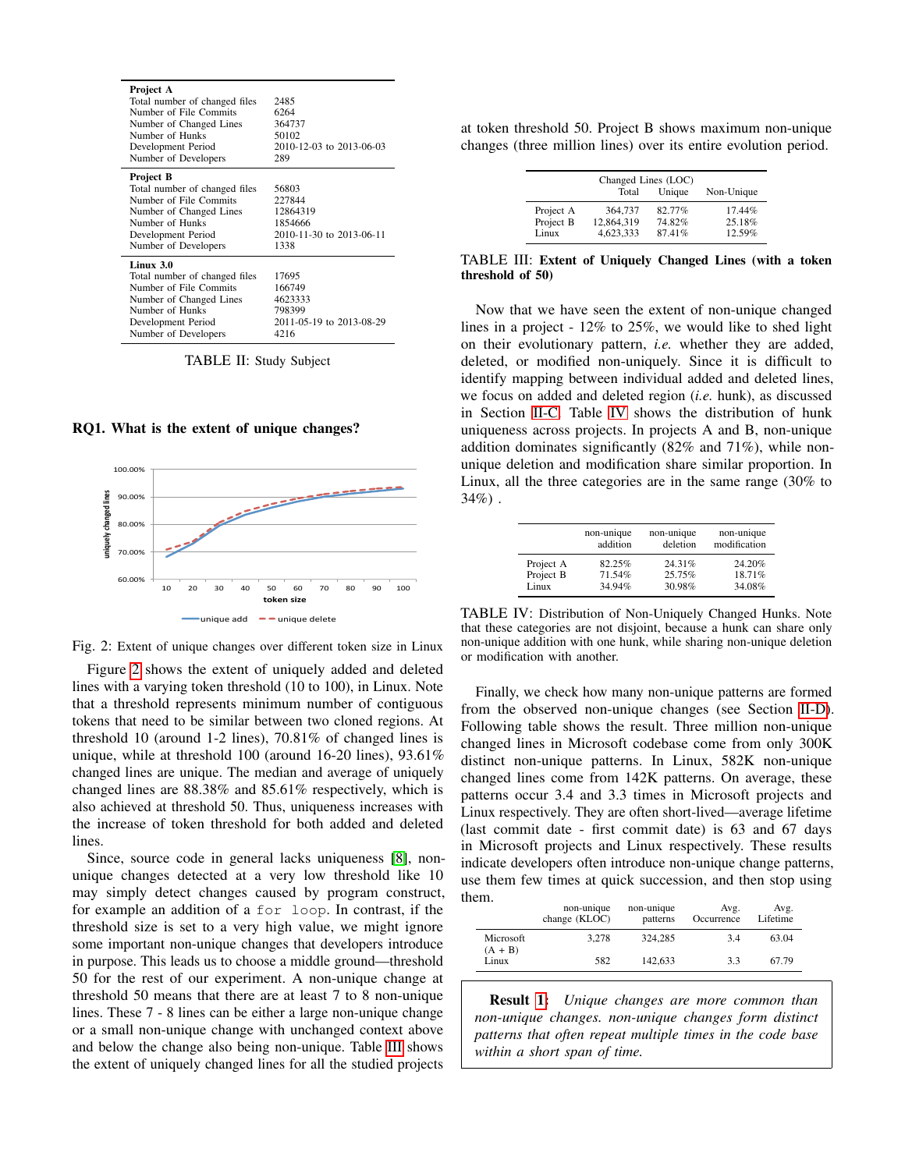<span id="page-4-0"></span>

| Project A<br>Total number of changed files<br>Number of File Commits<br>Number of Changed Lines<br>Number of Hunks<br>Development Period<br>Number of Developers | 2485<br>6264<br>364737<br>50102<br>2010-12-03 to 2013-06-03<br>289         |
|------------------------------------------------------------------------------------------------------------------------------------------------------------------|----------------------------------------------------------------------------|
| Project B<br>Total number of changed files<br>Number of File Commits<br>Number of Changed Lines<br>Number of Hunks<br>Development Period<br>Number of Developers | 56803<br>227844<br>12864319<br>1854666<br>2010-11-30 to 2013-06-11<br>1338 |
| Linux 3.0<br>Total number of changed files<br>Number of File Commits<br>Number of Changed Lines<br>Number of Hunks<br>Development Period<br>Number of Developers | 17695<br>166749<br>4623333<br>798399<br>2011-05-19 to 2013-08-29<br>4216   |

TABLE II: Study Subject

RQ1. What is the extent of unique changes?

<span id="page-4-1"></span>



Figure [2](#page-4-1) shows the extent of uniquely added and deleted lines with a varying token threshold (10 to 100), in Linux. Note that a threshold represents minimum number of contiguous tokens that need to be similar between two cloned regions. At threshold 10 (around 1-2 lines), 70.81% of changed lines is unique, while at threshold 100 (around 16-20 lines), 93.61% changed lines are unique. The median and average of uniquely changed lines are 88.38% and 85.61% respectively, which is also achieved at threshold 50. Thus, uniqueness increases with the increase of token threshold for both added and deleted lines.

Since, source code in general lacks uniqueness [\[8\]](#page-10-6), nonunique changes detected at a very low threshold like 10 may simply detect changes caused by program construct, for example an addition of a for loop. In contrast, if the threshold size is set to a very high value, we might ignore some important non-unique changes that developers introduce in purpose. This leads us to choose a middle ground—threshold 50 for the rest of our experiment. A non-unique change at threshold 50 means that there are at least 7 to 8 non-unique lines. These 7 - 8 lines can be either a large non-unique change or a small non-unique change with unchanged context above and below the change also being non-unique. Table [III](#page-4-2) shows the extent of uniquely changed lines for all the studied projects

<span id="page-4-2"></span>at token threshold 50. Project B shows maximum non-unique changes (three million lines) over its entire evolution period.

| Changed Lines (LOC) |            |        |            |  |
|---------------------|------------|--------|------------|--|
|                     | Total      | Unique | Non-Unique |  |
| Project A           | 364,737    | 82.77% | 17.44%     |  |
| Project B           | 12,864,319 | 74.82% | 25.18%     |  |
| Linux               | 4,623,333  | 87.41% | 12.59%     |  |

TABLE III: Extent of Uniquely Changed Lines (with a token threshold of 50)

Now that we have seen the extent of non-unique changed lines in a project - 12% to 25%, we would like to shed light on their evolutionary pattern, *i.e.* whether they are added, deleted, or modified non-uniquely. Since it is difficult to identify mapping between individual added and deleted lines, we focus on added and deleted region (*i.e.* hunk), as discussed in Section [II-C.](#page-2-1) Table [IV](#page-4-3) shows the distribution of hunk uniqueness across projects. In projects A and B, non-unique addition dominates significantly (82% and 71%), while nonunique deletion and modification share similar proportion. In Linux, all the three categories are in the same range (30% to  $34\%$ ).

<span id="page-4-3"></span>

|           | non-unique<br>addition | non-unique<br>deletion | non-unique<br>modification |
|-----------|------------------------|------------------------|----------------------------|
| Project A | 82.25%                 | 24.31%                 | 24.20%                     |
| Project B | 71.54%                 | 25.75%                 | 18.71%                     |
| Linux     | 34.94%                 | 30.98%                 | 34.08%                     |

TABLE IV: Distribution of Non-Uniquely Changed Hunks. Note that these categories are not disjoint, because a hunk can share only non-unique addition with one hunk, while sharing non-unique deletion or modification with another.

Finally, we check how many non-unique patterns are formed from the observed non-unique changes (see Section [II-D\)](#page-3-2). Following table shows the result. Three million non-unique changed lines in Microsoft codebase come from only 300K distinct non-unique patterns. In Linux, 582K non-unique changed lines come from 142K patterns. On average, these patterns occur 3.4 and 3.3 times in Microsoft projects and Linux respectively. They are often short-lived—average lifetime (last commit date - first commit date) is 63 and 67 days in Microsoft projects and Linux respectively. These results indicate developers often introduce non-unique change patterns, use them few times at quick succession, and then stop using them.

|                        | non-unique<br>change (KLOC) | non-unique<br>patterns | Avg.<br>Occurrence | Avg.<br>Lifetime |
|------------------------|-----------------------------|------------------------|--------------------|------------------|
| Microsoft<br>$(A + B)$ | 3.278                       | 324,285                | 3.4                | 63.04            |
| Linux                  | 582                         | 142,633                | 3.3                | 67.79            |

Result [1:](#page-3-3) *Unique changes are more common than non-unique changes. non-unique changes form distinct patterns that often repeat multiple times in the code base within a short span of time.*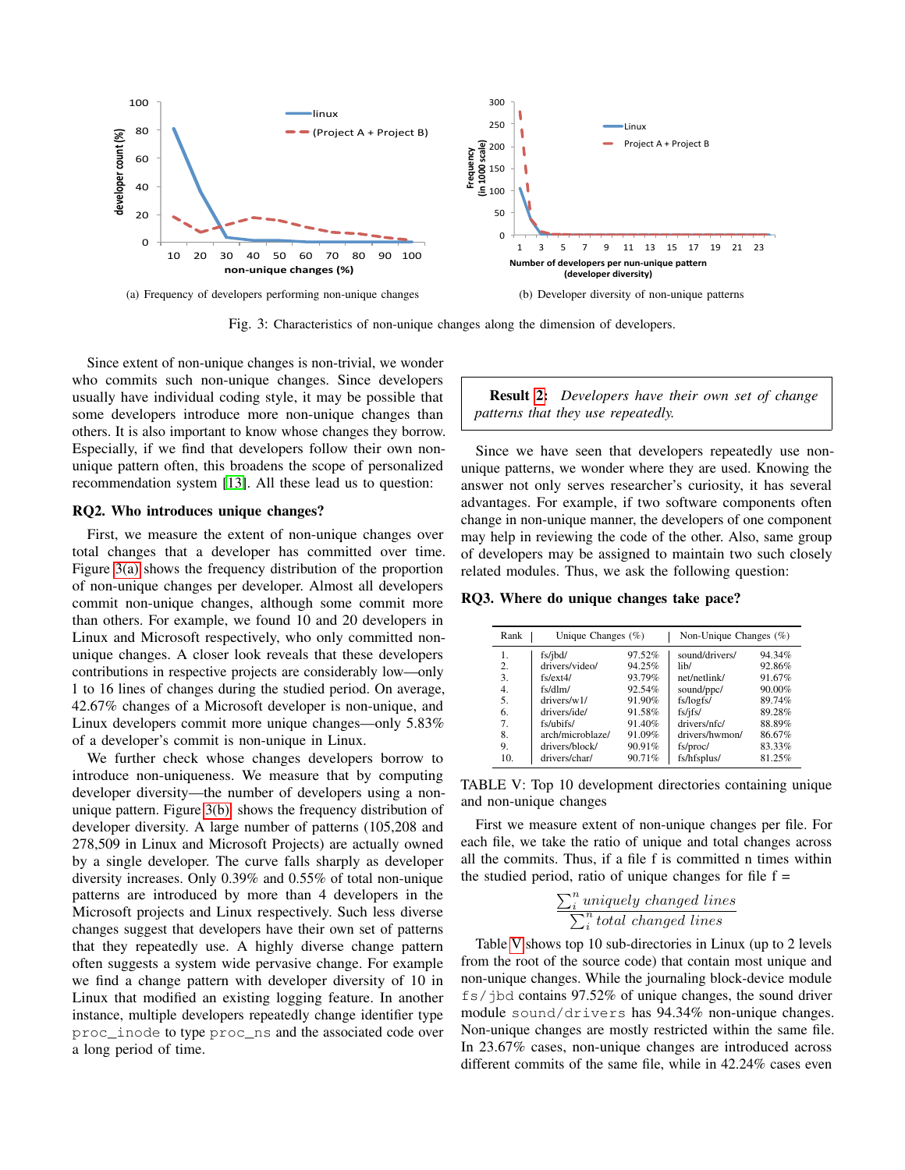<span id="page-5-0"></span>

Fig. 3: Characteristics of non-unique changes along the dimension of developers.

Since extent of non-unique changes is non-trivial, we wonder who commits such non-unique changes. Since developers usually have individual coding style, it may be possible that some developers introduce more non-unique changes than others. It is also important to know whose changes they borrow. Especially, if we find that developers follow their own nonunique pattern often, this broadens the scope of personalized recommendation system [\[13\]](#page-10-7). All these lead us to question:

### <span id="page-5-2"></span>RQ2. Who introduces unique changes?

First, we measure the extent of non-unique changes over total changes that a developer has committed over time. Figure [3\(a\)](#page-5-0) shows the frequency distribution of the proportion of non-unique changes per developer. Almost all developers commit non-unique changes, although some commit more than others. For example, we found 10 and 20 developers in Linux and Microsoft respectively, who only committed nonunique changes. A closer look reveals that these developers contributions in respective projects are considerably low—only 1 to 16 lines of changes during the studied period. On average, 42.67% changes of a Microsoft developer is non-unique, and Linux developers commit more unique changes—only 5.83% of a developer's commit is non-unique in Linux.

We further check whose changes developers borrow to introduce non-uniqueness. We measure that by computing developer diversity—the number of developers using a nonunique pattern. Figure [3\(b\)](#page-5-1) shows the frequency distribution of developer diversity. A large number of patterns (105,208 and 278,509 in Linux and Microsoft Projects) are actually owned by a single developer. The curve falls sharply as developer diversity increases. Only 0.39% and 0.55% of total non-unique patterns are introduced by more than 4 developers in the Microsoft projects and Linux respectively. Such less diverse changes suggest that developers have their own set of patterns that they repeatedly use. A highly diverse change pattern often suggests a system wide pervasive change. For example we find a change pattern with developer diversity of 10 in Linux that modified an existing logging feature. In another instance, multiple developers repeatedly change identifier type proc\_inode to type proc\_ns and the associated code over a long period of time.

<span id="page-5-1"></span>Result [2:](#page-5-2) *Developers have their own set of change patterns that they use repeatedly.*

Since we have seen that developers repeatedly use nonunique patterns, we wonder where they are used. Knowing the answer not only serves researcher's curiosity, it has several advantages. For example, if two software components often change in non-unique manner, the developers of one component may help in reviewing the code of the other. Also, same group of developers may be assigned to maintain two such closely related modules. Thus, we ask the following question:

<span id="page-5-4"></span><span id="page-5-3"></span>RQ3. Where do unique changes take pace?

| Rank | Unique Changes $(\%)$ |        | Non-Unique Changes (%) |           |
|------|-----------------------|--------|------------------------|-----------|
| 1.   | fs/jbd/               | 97.52% | sound/drivers/         | 94.34%    |
| 2.   | drivers/video/        | 94.25% | lib/                   | 92.86%    |
| 3.   | fs/ext4/              | 93.79% | net/netlink/           | 91.67%    |
| 4.   | fs/dlm/               | 92.54% | sound/ppc/             | $90.00\%$ |
| 5.   | drivers/w1/           | 91.90% | fs/logfs/              | 89.74%    |
| 6.   | drivers/ide/          | 91.58% | fs/jfs/                | 89.28%    |
| 7.   | fs/ubifs/             | 91.40% | drivers/nfc/           | 88.89%    |
| 8.   | arch/microblaze/      | 91.09% | drivers/hwmon/         | 86.67%    |
| 9.   | drivers/block/        | 90.91% | fs/proc/               | 83.33%    |
| 10.  | drivers/char/         | 90.71% | fs/hfsplus/            | 81.25%    |

TABLE V: Top 10 development directories containing unique and non-unique changes

First we measure extent of non-unique changes per file. For each file, we take the ratio of unique and total changes across all the commits. Thus, if a file f is committed n times within the studied period, ratio of unique changes for file  $f =$ 

$$
\frac{\sum_{i}^{n} \text{uniquely changed lines}}{\sum_{i}^{n} \text{total changed lines}}
$$

Table [V](#page-5-3) shows top 10 sub-directories in Linux (up to 2 levels from the root of the source code) that contain most unique and non-unique changes. While the journaling block-device module fs/jbd contains 97.52% of unique changes, the sound driver module sound/drivers has 94.34% non-unique changes. Non-unique changes are mostly restricted within the same file. In 23.67% cases, non-unique changes are introduced across different commits of the same file, while in 42.24% cases even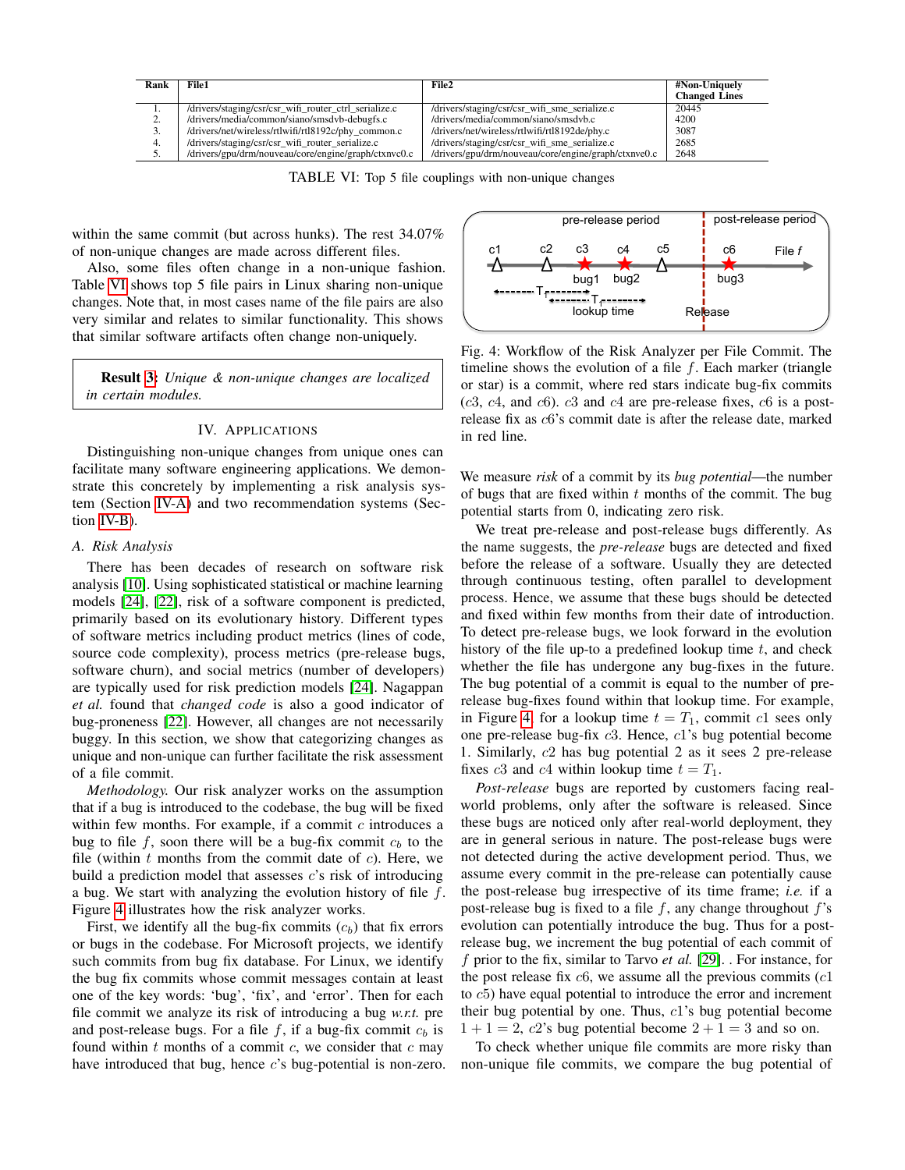<span id="page-6-0"></span>

| Rank | File1                                                 | File2                                                | #Non-Uniquely        |
|------|-------------------------------------------------------|------------------------------------------------------|----------------------|
|      |                                                       |                                                      | <b>Changed Lines</b> |
|      | /drivers/staging/csr/csr_wifi_router_ctrl_serialize.c | /drivers/staging/csr/csr_wifi_sme_serialize.c        | 20445                |
| ٠.   | /drivers/media/common/siano/smsdvb-debugfs.c          | /drivers/media/common/siano/smsdvb.c                 | 4200                 |
|      | /drivers/net/wireless/rtlwifi/rtl8192c/phy common.c   | /drivers/net/wireless/rtlwifi/rtl8192de/phy.c        | 3087                 |
| 4.   | /drivers/staging/csr/csr_wifi_router_serialize.c      | /drivers/staging/csr/csr_wifi_sme_serialize.c        | 2685                 |
| J.   | /drivers/gpu/drm/nouveau/core/engine/graph/ctxnvc0.c  | /drivers/gpu/drm/nouveau/core/engine/graph/ctxnve0.c | 2648                 |

|  | TABLE VI: Top 5 file couplings with non-unique changes |  |  |
|--|--------------------------------------------------------|--|--|
|  |                                                        |  |  |

within the same commit (but across hunks). The rest 34.07% of non-unique changes are made across different files.

Also, some files often change in a non-unique fashion. Table [VI](#page-6-0) shows top 5 file pairs in Linux sharing non-unique changes. Note that, in most cases name of the file pairs are also very similar and relates to similar functionality. This shows that similar software artifacts often change non-uniquely.

Result [3:](#page-5-4) *Unique & non-unique changes are localized in certain modules.*

# IV. APPLICATIONS

Distinguishing non-unique changes from unique ones can facilitate many software engineering applications. We demonstrate this concretely by implementing a risk analysis system (Section [IV-A\)](#page-6-1) and two recommendation systems (Section [IV-B\)](#page-7-0).

### <span id="page-6-1"></span>*A. Risk Analysis*

There has been decades of research on software risk analysis [\[10\]](#page-10-8). Using sophisticated statistical or machine learning models [\[24\]](#page-10-9), [\[22\]](#page-10-10), risk of a software component is predicted, primarily based on its evolutionary history. Different types of software metrics including product metrics (lines of code, source code complexity), process metrics (pre-release bugs, software churn), and social metrics (number of developers) are typically used for risk prediction models [\[24\]](#page-10-9). Nagappan *et al.* found that *changed code* is also a good indicator of bug-proneness [\[22\]](#page-10-10). However, all changes are not necessarily buggy. In this section, we show that categorizing changes as unique and non-unique can further facilitate the risk assessment of a file commit.

*Methodology.* Our risk analyzer works on the assumption that if a bug is introduced to the codebase, the bug will be fixed within few months. For example, if a commit  $c$  introduces a bug to file f, soon there will be a bug-fix commit  $c<sub>b</sub>$  to the file (within  $t$  months from the commit date of  $c$ ). Here, we build a prediction model that assesses  $c$ 's risk of introducing a bug. We start with analyzing the evolution history of file  $f$ . Figure [4](#page-6-2) illustrates how the risk analyzer works.

First, we identify all the bug-fix commits  $(c_b)$  that fix errors or bugs in the codebase. For Microsoft projects, we identify such commits from bug fix database. For Linux, we identify the bug fix commits whose commit messages contain at least one of the key words: 'bug', 'fix', and 'error'. Then for each file commit we analyze its risk of introducing a bug *w.r.t.* pre and post-release bugs. For a file  $f$ , if a bug-fix commit  $c<sub>b</sub>$  is found within  $t$  months of a commit  $c$ , we consider that  $c$  may have introduced that bug, hence c's bug-potential is non-zero.

<span id="page-6-2"></span>

Fig. 4: Workflow of the Risk Analyzer per File Commit. The timeline shows the evolution of a file  $f$ . Each marker (triangle or star) is a commit, where red stars indicate bug-fix commits  $(c3, c4, and c6)$ .  $c3$  and  $c4$  are pre-release fixes,  $c6$  is a postrelease fix as c6's commit date is after the release date, marked in red line.

We measure *risk* of a commit by its *bug potential*—the number of bugs that are fixed within  $t$  months of the commit. The bug potential starts from 0, indicating zero risk.

We treat pre-release and post-release bugs differently. As the name suggests, the *pre-release* bugs are detected and fixed before the release of a software. Usually they are detected through continuous testing, often parallel to development process. Hence, we assume that these bugs should be detected and fixed within few months from their date of introduction. To detect pre-release bugs, we look forward in the evolution history of the file up-to a predefined lookup time  $t$ , and check whether the file has undergone any bug-fixes in the future. The bug potential of a commit is equal to the number of prerelease bug-fixes found within that lookup time. For example, in Figure [4,](#page-6-2) for a lookup time  $t = T_1$ , commit c1 sees only one pre-release bug-fix c3. Hence, c1's bug potential become 1. Similarly, c2 has bug potential 2 as it sees 2 pre-release fixes c3 and c4 within lookup time  $t = T_1$ .

*Post-release* bugs are reported by customers facing realworld problems, only after the software is released. Since these bugs are noticed only after real-world deployment, they are in general serious in nature. The post-release bugs were not detected during the active development period. Thus, we assume every commit in the pre-release can potentially cause the post-release bug irrespective of its time frame; *i.e.* if a post-release bug is fixed to a file  $f$ , any change throughout  $f$ 's evolution can potentially introduce the bug. Thus for a postrelease bug, we increment the bug potential of each commit of f prior to the fix, similar to Tarvo *et al.* [\[29\]](#page-10-11). . For instance, for the post release fix  $c6$ , we assume all the previous commits  $(c1)$ to c5) have equal potential to introduce the error and increment their bug potential by one. Thus,  $c1$ 's bug potential become  $1+1=2, c2$ 's bug potential become  $2+1=3$  and so on.

To check whether unique file commits are more risky than non-unique file commits, we compare the bug potential of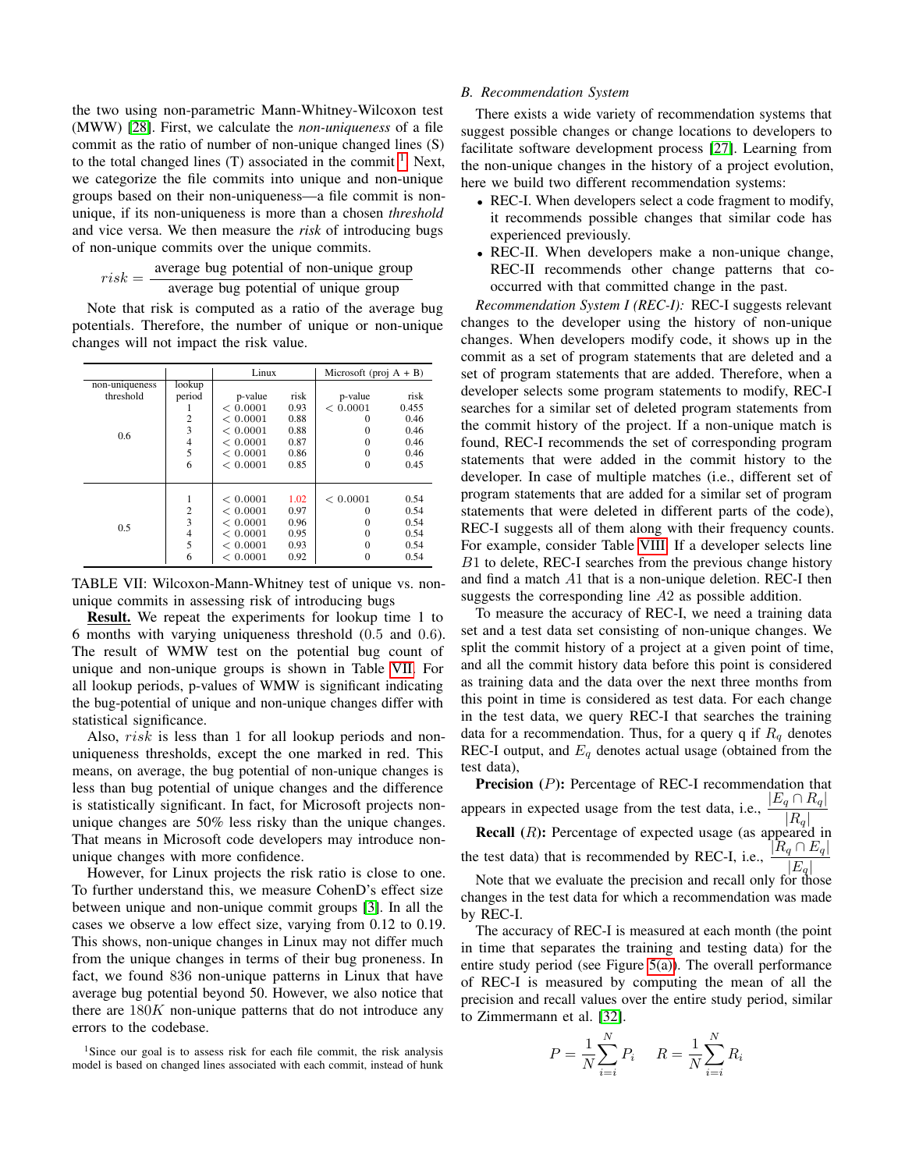the two using non-parametric Mann-Whitney-Wilcoxon test (MWW) [\[28\]](#page-10-12). First, we calculate the *non-uniqueness* of a file commit as the ratio of number of non-unique changed lines (S) to the total changed lines  $(T)$  associated in the commit  $<sup>1</sup>$  $<sup>1</sup>$  $<sup>1</sup>$ . Next,</sup> we categorize the file commits into unique and non-unique groups based on their non-uniqueness—a file commit is nonunique, if its non-uniqueness is more than a chosen *threshold* and vice versa. We then measure the *risk* of introducing bugs of non-unique commits over the unique commits.

$$
risk = \frac{\text{average bug potential of non-unique group}}{\text{average bug potential of unique group}}
$$

Note that risk is computed as a ratio of the average bug potentials. Therefore, the number of unique or non-unique changes will not impact the risk value.

<span id="page-7-2"></span>

|                |                | Linux    |      | Microsoft (proj $A + B$ ) |       |
|----------------|----------------|----------|------|---------------------------|-------|
| non-uniqueness | lookup         |          |      |                           |       |
| threshold      | period         | p-value  | risk | p-value                   | risk  |
|                |                | < 0.0001 | 0.93 | < 0.0001                  | 0.455 |
|                | 2              | < 0.0001 | 0.88 | $\Omega$                  | 0.46  |
| $0.6^{\circ}$  | 3              | < 0.0001 | 0.88 | $\Omega$                  | 0.46  |
|                | 4              | < 0.0001 | 0.87 | $\Omega$                  | 0.46  |
|                | 5              | < 0.0001 | 0.86 | $\Omega$                  | 0.46  |
|                | 6              | < 0.0001 | 0.85 | $\Omega$                  | 0.45  |
|                |                |          |      |                           |       |
|                |                |          |      |                           |       |
|                | 1              | < 0.0001 | 1.02 | < 0.0001                  | 0.54  |
|                | $\overline{2}$ | < 0.0001 | 0.97 | $\Omega$                  | 0.54  |
| 0.5            | 3              | < 0.0001 | 0.96 | $\Omega$                  | 0.54  |
|                | 4              | < 0.0001 | 0.95 | $\Omega$                  | 0.54  |
|                | 5              | < 0.0001 | 0.93 | $\Omega$                  | 0.54  |
|                | 6              | < 0.0001 | 0.92 | $\Omega$                  | 0.54  |

TABLE VII: Wilcoxon-Mann-Whitney test of unique vs. nonunique commits in assessing risk of introducing bugs

Result. We repeat the experiments for lookup time 1 to 6 months with varying uniqueness threshold (0.5 and 0.6). The result of WMW test on the potential bug count of unique and non-unique groups is shown in Table [VII.](#page-7-2) For all lookup periods, p-values of WMW is significant indicating the bug-potential of unique and non-unique changes differ with statistical significance.

Also, risk is less than 1 for all lookup periods and nonuniqueness thresholds, except the one marked in red. This means, on average, the bug potential of non-unique changes is less than bug potential of unique changes and the difference is statistically significant. In fact, for Microsoft projects nonunique changes are 50% less risky than the unique changes. That means in Microsoft code developers may introduce nonunique changes with more confidence.

However, for Linux projects the risk ratio is close to one. To further understand this, we measure CohenD's effect size between unique and non-unique commit groups [\[3\]](#page-9-1). In all the cases we observe a low effect size, varying from 0.12 to 0.19. This shows, non-unique changes in Linux may not differ much from the unique changes in terms of their bug proneness. In fact, we found 836 non-unique patterns in Linux that have average bug potential beyond 50. However, we also notice that there are  $180K$  non-unique patterns that do not introduce any errors to the codebase.

<span id="page-7-1"></span><sup>1</sup>Since our goal is to assess risk for each file commit, the risk analysis model is based on changed lines associated with each commit, instead of hunk

## <span id="page-7-0"></span>*B. Recommendation System*

There exists a wide variety of recommendation systems that suggest possible changes or change locations to developers to facilitate software development process [\[27\]](#page-10-13). Learning from the non-unique changes in the history of a project evolution, here we build two different recommendation systems:

- REC-I. When developers select a code fragment to modify, it recommends possible changes that similar code has experienced previously.
- REC-II. When developers make a non-unique change, REC-II recommends other change patterns that cooccurred with that committed change in the past.

*Recommendation System I (REC-I):* REC-I suggests relevant changes to the developer using the history of non-unique changes. When developers modify code, it shows up in the commit as a set of program statements that are deleted and a set of program statements that are added. Therefore, when a developer selects some program statements to modify, REC-I searches for a similar set of deleted program statements from the commit history of the project. If a non-unique match is found, REC-I recommends the set of corresponding program statements that were added in the commit history to the developer. In case of multiple matches (i.e., different set of program statements that are added for a similar set of program statements that were deleted in different parts of the code), REC-I suggests all of them along with their frequency counts. For example, consider Table [VIII.](#page-9-2) If a developer selects line B1 to delete, REC-I searches from the previous change history and find a match A1 that is a non-unique deletion. REC-I then suggests the corresponding line A2 as possible addition.

To measure the accuracy of REC-I, we need a training data set and a test data set consisting of non-unique changes. We split the commit history of a project at a given point of time, and all the commit history data before this point is considered as training data and the data over the next three months from this point in time is considered as test data. For each change in the test data, we query REC-I that searches the training data for a recommendation. Thus, for a query q if  $R_q$  denotes REC-I output, and  $E_q$  denotes actual usage (obtained from the test data),

Precision (P): Percentage of REC-I recommendation that appears in expected usage from the test data, i.e.,  $\frac{|E_q \cap R_q|}{|R_q|}$ **Recall**  $(R)$ : Percentage of expected usage (as appeared in the test data) that is recommended by REC-I, i.e.,  $\frac{|R_q \cap E_q|}{|E_q|}$ 

Note that we evaluate the precision and recall only for those changes in the test data for which a recommendation was made by REC-I.

The accuracy of REC-I is measured at each month (the point in time that separates the training and testing data) for the entire study period (see Figure [5\(a\)\)](#page-8-0). The overall performance of REC-I is measured by computing the mean of all the precision and recall values over the entire study period, similar to Zimmermann et al. [\[32\]](#page-10-14).

$$
P = \frac{1}{N} \sum_{i=i}^{N} P_i \qquad R = \frac{1}{N} \sum_{i=i}^{N} R_i
$$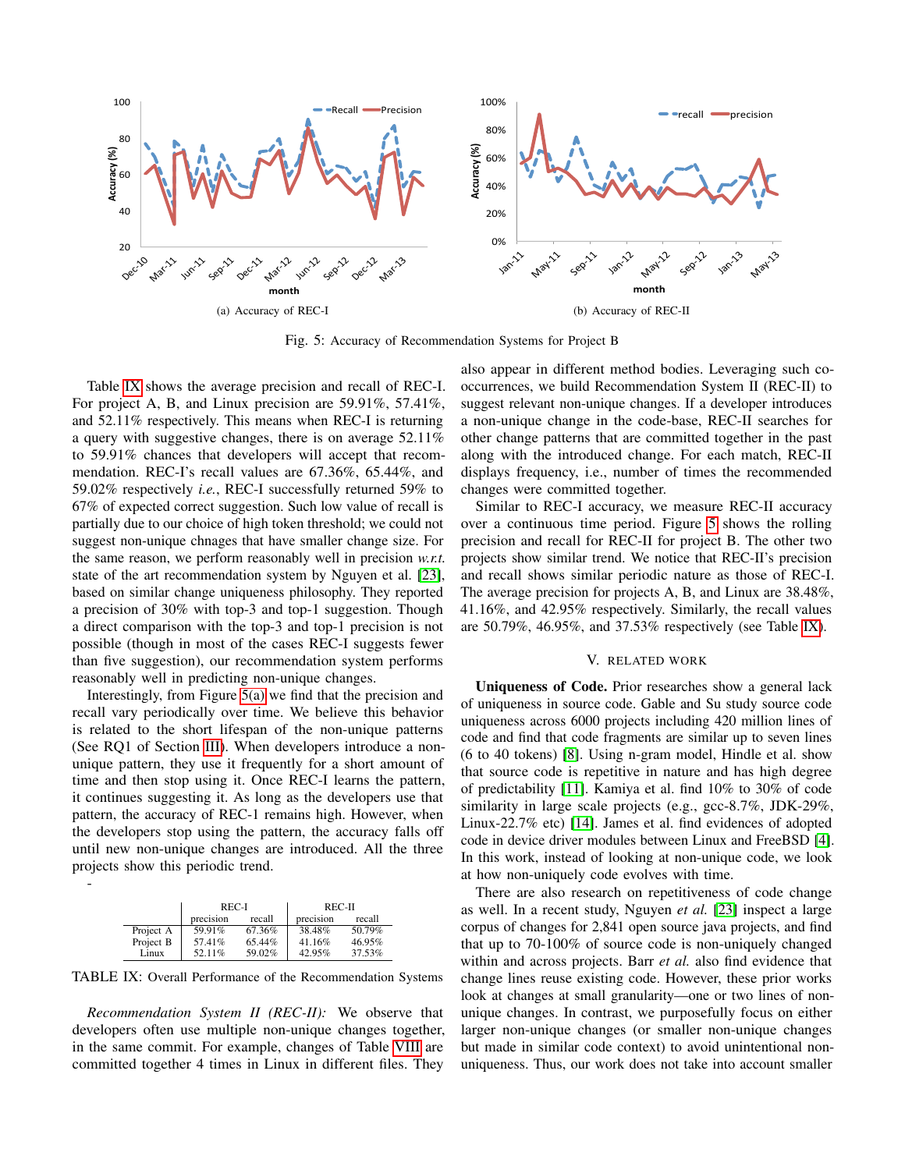<span id="page-8-2"></span><span id="page-8-0"></span>

Fig. 5: Accuracy of Recommendation Systems for Project B

Table [IX](#page-8-1) shows the average precision and recall of REC-I. For project A, B, and Linux precision are 59.91%, 57.41%, and 52.11% respectively. This means when REC-I is returning a query with suggestive changes, there is on average 52.11% to 59.91% chances that developers will accept that recommendation. REC-I's recall values are 67.36%, 65.44%, and 59.02% respectively *i.e.*, REC-I successfully returned 59% to 67% of expected correct suggestion. Such low value of recall is partially due to our choice of high token threshold; we could not suggest non-unique chnages that have smaller change size. For the same reason, we perform reasonably well in precision *w.r.t.* state of the art recommendation system by Nguyen et al. [\[23\]](#page-10-1), based on similar change uniqueness philosophy. They reported a precision of 30% with top-3 and top-1 suggestion. Though a direct comparison with the top-3 and top-1 precision is not possible (though in most of the cases REC-I suggests fewer than five suggestion), our recommendation system performs reasonably well in predicting non-unique changes.

Interestingly, from Figure [5\(a\)](#page-8-0) we find that the precision and recall vary periodically over time. We believe this behavior is related to the short lifespan of the non-unique patterns (See RQ1 of Section [III\)](#page-3-1). When developers introduce a nonunique pattern, they use it frequently for a short amount of time and then stop using it. Once REC-I learns the pattern, it continues suggesting it. As long as the developers use that pattern, the accuracy of REC-1 remains high. However, when the developers stop using the pattern, the accuracy falls off until new non-unique changes are introduced. All the three projects show this periodic trend.

|           | REC-I     |        | REC-II    |           |
|-----------|-----------|--------|-----------|-----------|
|           | precision | recall | precision | recall    |
| Project A | 59.91%    | 67.36% | 38.48%    | $50.79\%$ |
| Project B | 57.41%    | 65.44% | 41.16%    | 46.95%    |
| Linux     | 52.11%    | 59.02% | 42.95%    | 37.53%    |

<span id="page-8-1"></span>-

TABLE IX: Overall Performance of the Recommendation Systems

*Recommendation System II (REC-II):* We observe that developers often use multiple non-unique changes together, in the same commit. For example, changes of Table [VIII](#page-9-2) are committed together 4 times in Linux in different files. They

also appear in different method bodies. Leveraging such cooccurrences, we build Recommendation System II (REC-II) to suggest relevant non-unique changes. If a developer introduces a non-unique change in the code-base, REC-II searches for other change patterns that are committed together in the past along with the introduced change. For each match, REC-II displays frequency, i.e., number of times the recommended changes were committed together.

Similar to REC-I accuracy, we measure REC-II accuracy over a continuous time period. Figure [5](#page-8-2) shows the rolling precision and recall for REC-II for project B. The other two projects show similar trend. We notice that REC-II's precision and recall shows similar periodic nature as those of REC-I. The average precision for projects A, B, and Linux are 38.48%, 41.16%, and 42.95% respectively. Similarly, the recall values are 50.79%, 46.95%, and 37.53% respectively (see Table [IX\)](#page-8-1).

### V. RELATED WORK

Uniqueness of Code. Prior researches show a general lack of uniqueness in source code. Gable and Su study source code uniqueness across 6000 projects including 420 million lines of code and find that code fragments are similar up to seven lines (6 to 40 tokens) [\[8\]](#page-10-6). Using n-gram model, Hindle et al. show that source code is repetitive in nature and has high degree of predictability [\[11\]](#page-10-0). Kamiya et al. find 10% to 30% of code similarity in large scale projects (e.g., gcc-8.7%, JDK-29%, Linux-22.7% etc) [\[14\]](#page-10-3). James et al. find evidences of adopted code in device driver modules between Linux and FreeBSD [\[4\]](#page-10-15). In this work, instead of looking at non-unique code, we look at how non-uniquely code evolves with time.

There are also research on repetitiveness of code change as well. In a recent study, Nguyen *et al.* [\[23\]](#page-10-1) inspect a large corpus of changes for 2,841 open source java projects, and find that up to 70-100% of source code is non-uniquely changed within and across projects. Barr *et al.* also find evidence that change lines reuse existing code. However, these prior works look at changes at small granularity—one or two lines of nonunique changes. In contrast, we purposefully focus on either larger non-unique changes (or smaller non-unique changes but made in similar code context) to avoid unintentional nonuniqueness. Thus, our work does not take into account smaller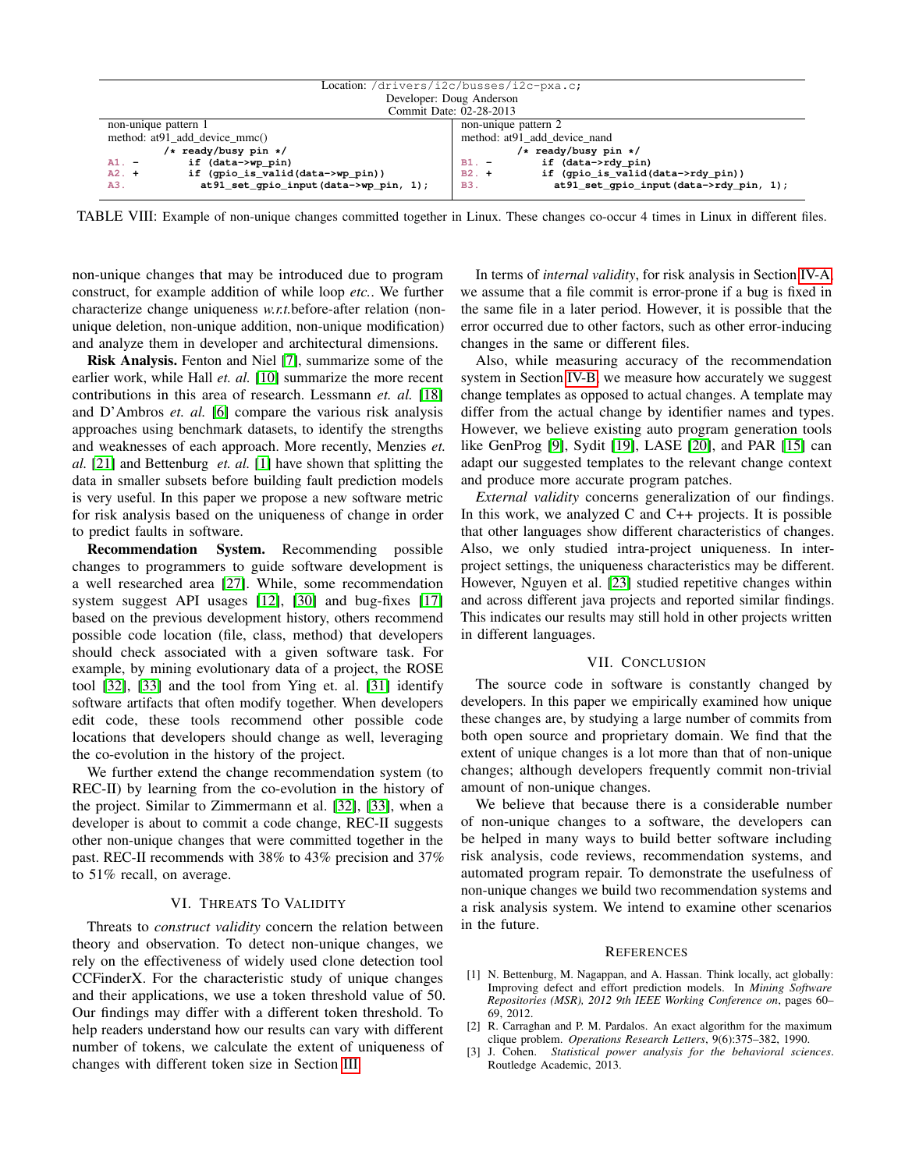<span id="page-9-2"></span>

| Location:/drivers/i2c/busses/i2c-pxa.c;        |                                                        |  |
|------------------------------------------------|--------------------------------------------------------|--|
| Developer: Doug Anderson                       |                                                        |  |
| Commit Date: 02-28-2013                        |                                                        |  |
| non-unique pattern 1                           | non-unique pattern 2                                   |  |
| method: at 91 add device mmc()                 | method: at 91 add device nand                          |  |
| /* ready/busy pin */                           | /* ready/busy pin */                                   |  |
| if (data->wp pin)<br>$A1. -$                   | if (data->rdy pin)<br>$B1. -$                          |  |
| if (gpio_is_valid(data->wp_pin))<br>$A2. +$    | if (qpio_is_valid(data->rdy_pin))<br>$B2. +$           |  |
| at 91_set_qpio_input (data->wp_pin, 1);<br>A3. | at 91 set qpio input (data->rdy pin, 1);<br><b>B3.</b> |  |

TABLE VIII: Example of non-unique changes committed together in Linux. These changes co-occur 4 times in Linux in different files.

non-unique changes that may be introduced due to program construct, for example addition of while loop *etc.*. We further characterize change uniqueness *w.r.t.*before-after relation (nonunique deletion, non-unique addition, non-unique modification) and analyze them in developer and architectural dimensions.

Risk Analysis. Fenton and Niel [\[7\]](#page-10-16), summarize some of the earlier work, while Hall *et. al.* [\[10\]](#page-10-8) summarize the more recent contributions in this area of research. Lessmann *et. al.* [\[18\]](#page-10-17) and D'Ambros *et. al.* [\[6\]](#page-10-18) compare the various risk analysis approaches using benchmark datasets, to identify the strengths and weaknesses of each approach. More recently, Menzies *et. al.* [\[21\]](#page-10-19) and Bettenburg *et. al.* [\[1\]](#page-9-3) have shown that splitting the data in smaller subsets before building fault prediction models is very useful. In this paper we propose a new software metric for risk analysis based on the uniqueness of change in order to predict faults in software.

Recommendation System. Recommending possible changes to programmers to guide software development is a well researched area [\[27\]](#page-10-13). While, some recommendation system suggest API usages [\[12\]](#page-10-20), [\[30\]](#page-10-21) and bug-fixes [\[17\]](#page-10-22) based on the previous development history, others recommend possible code location (file, class, method) that developers should check associated with a given software task. For example, by mining evolutionary data of a project, the ROSE tool [\[32\]](#page-10-14), [\[33\]](#page-10-23) and the tool from Ying et. al. [\[31\]](#page-10-24) identify software artifacts that often modify together. When developers edit code, these tools recommend other possible code locations that developers should change as well, leveraging the co-evolution in the history of the project.

We further extend the change recommendation system (to REC-II) by learning from the co-evolution in the history of the project. Similar to Zimmermann et al. [\[32\]](#page-10-14), [\[33\]](#page-10-23), when a developer is about to commit a code change, REC-II suggests other non-unique changes that were committed together in the past. REC-II recommends with 38% to 43% precision and 37% to 51% recall, on average.

### VI. THREATS TO VALIDITY

Threats to *construct validity* concern the relation between theory and observation. To detect non-unique changes, we rely on the effectiveness of widely used clone detection tool CCFinderX. For the characteristic study of unique changes and their applications, we use a token threshold value of 50. Our findings may differ with a different token threshold. To help readers understand how our results can vary with different number of tokens, we calculate the extent of uniqueness of changes with different token size in Section [III.](#page-3-1)

In terms of *internal validity*, for risk analysis in Section [IV-A,](#page-6-1) we assume that a file commit is error-prone if a bug is fixed in the same file in a later period. However, it is possible that the error occurred due to other factors, such as other error-inducing changes in the same or different files.

Also, while measuring accuracy of the recommendation system in Section [IV-B,](#page-7-0) we measure how accurately we suggest change templates as opposed to actual changes. A template may differ from the actual change by identifier names and types. However, we believe existing auto program generation tools like GenProg [\[9\]](#page-10-25), Sydit [\[19\]](#page-10-26), LASE [\[20\]](#page-10-27), and PAR [\[15\]](#page-10-28) can adapt our suggested templates to the relevant change context and produce more accurate program patches.

*External validity* concerns generalization of our findings. In this work, we analyzed  $C$  and  $C_{++}$  projects. It is possible that other languages show different characteristics of changes. Also, we only studied intra-project uniqueness. In interproject settings, the uniqueness characteristics may be different. However, Nguyen et al. [\[23\]](#page-10-1) studied repetitive changes within and across different java projects and reported similar findings. This indicates our results may still hold in other projects written in different languages.

#### VII. CONCLUSION

The source code in software is constantly changed by developers. In this paper we empirically examined how unique these changes are, by studying a large number of commits from both open source and proprietary domain. We find that the extent of unique changes is a lot more than that of non-unique changes; although developers frequently commit non-trivial amount of non-unique changes.

We believe that because there is a considerable number of non-unique changes to a software, the developers can be helped in many ways to build better software including risk analysis, code reviews, recommendation systems, and automated program repair. To demonstrate the usefulness of non-unique changes we build two recommendation systems and a risk analysis system. We intend to examine other scenarios in the future.

#### **REFERENCES**

- <span id="page-9-3"></span>[1] N. Bettenburg, M. Nagappan, and A. Hassan. Think locally, act globally: Improving defect and effort prediction models. In *Mining Software Repositories (MSR), 2012 9th IEEE Working Conference on*, pages 60– 69, 2012.
- <span id="page-9-0"></span>[2] R. Carraghan and P. M. Pardalos. An exact algorithm for the maximum clique problem. *Operations Research Letters*, 9(6):375–382, 1990.
- <span id="page-9-1"></span>[3] J. Cohen. *Statistical power analysis for the behavioral sciences*. Routledge Academic, 2013.